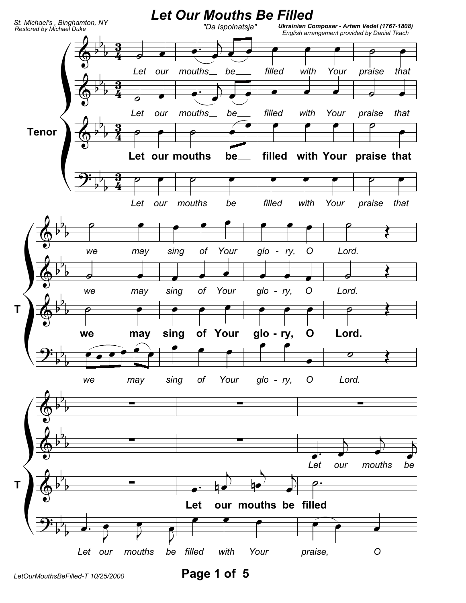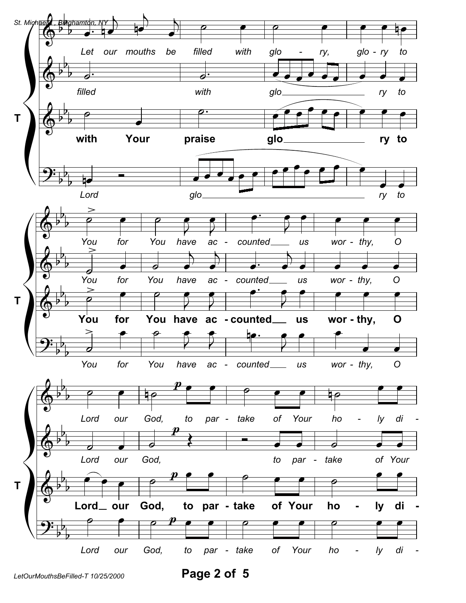

Page 2 of 5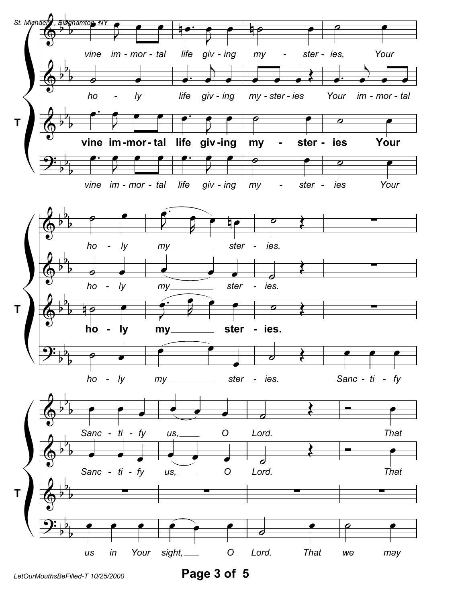

Page 3 of 5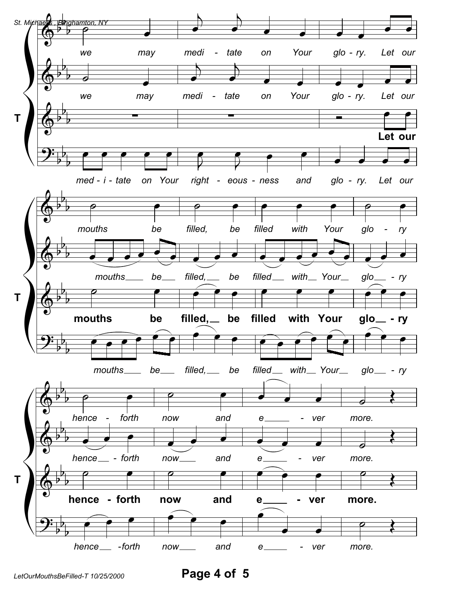